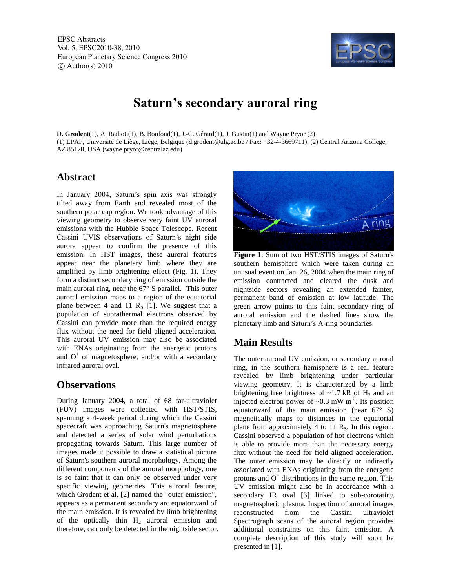EPSC Abstracts Vol. 5, EPSC2010-38, 2010 European Planetary Science Congress 2010  $\circ$  Author(s) 2010



# **Saturn's secondary auroral ring**

**D. Grodent**(1), A. Radioti(1), B. Bonfond(1), J.-C. Gérard(1), J. Gustin(1) and Wayne Pryor (2) (1) LPAP, Université de Liège, Liège, Belgique (d.grodent@ulg.ac.be / Fax: +32-4-3669711), (2) Central Arizona College, AZ 85128, USA (wayne.pryor@centralaz.edu)

#### **Abstract**

In January 2004, Saturn's spin axis was strongly tilted away from Earth and revealed most of the southern polar cap region. We took advantage of this viewing geometry to observe very faint UV auroral emissions with the Hubble Space Telescope. Recent Cassini UVIS observations of Saturn's night side aurora appear to confirm the presence of this emission. In HST images, these auroral features appear near the planetary limb where they are amplified by limb brightening effect (Fig. 1). They form a distinct secondary ring of emission outside the main auroral ring, near the 67° S parallel. This outer auroral emission maps to a region of the equatorial plane between 4 and 11  $R_s$  [1]. We suggest that a population of suprathermal electrons observed by Cassini can provide more than the required energy flux without the need for field aligned acceleration. This auroral UV emission may also be associated with ENAs originating from the energetic protons and  $O<sup>+</sup>$  of magnetosphere, and/or with a secondary infrared auroral oval.

#### **Observations**

During January 2004, a total of 68 far-ultraviolet (FUV) images were collected with HST/STIS, spanning a 4-week period during which the Cassini spacecraft was approaching Saturn's magnetosphere and detected a series of solar wind perturbations propagating towards Saturn. This large number of images made it possible to draw a statistical picture of Saturn's southern auroral morphology. Among the different components of the auroral morphology, one is so faint that it can only be observed under very specific viewing geometries. This auroral feature, which Grodent et al. [2] named the "outer emission", appears as a permanent secondary arc equatorward of the main emission. It is revealed by limb brightening of the optically thin  $H_2$  auroral emission and therefore, can only be detected in the nightside sector.



**Figure 1**: Sum of two HST/STIS images of Saturn's southern hemisphere which were taken during an unusual event on Jan. 26, 2004 when the main ring of emission contracted and cleared the dusk and nightside sectors revealing an extended fainter, permanent band of emission at low latitude. The green arrow points to this faint secondary ring of auroral emission and the dashed lines show the planetary limb and Saturn's A-ring boundaries.

## **Main Results**

The outer auroral UV emission, or secondary auroral ring, in the southern hemisphere is a real feature revealed by limb brightening under particular viewing geometry. It is characterized by a limb brightening free brightness of  $\sim$ 1.7 kR of H<sub>2</sub> and an injected electron power of  $\sim 0.3$  mW m<sup>-2</sup>. Its position equatorward of the main emission (near 67° S) magnetically maps to distances in the equatorial plane from approximately 4 to 11  $R<sub>S</sub>$ . In this region, Cassini observed a population of hot electrons which is able to provide more than the necessary energy flux without the need for field aligned acceleration. The outer emission may be directly or indirectly associated with ENAs originating from the energetic protons and  $O<sup>+</sup>$  distributions in the same region. This UV emission might also be in accordance with a secondary IR oval [3] linked to sub-corotating magnetospheric plasma. Inspection of auroral images reconstructed from the Cassini ultraviolet Spectrograph scans of the auroral region provides additional constraints on this faint emission. A complete description of this study will soon be presented in [1].